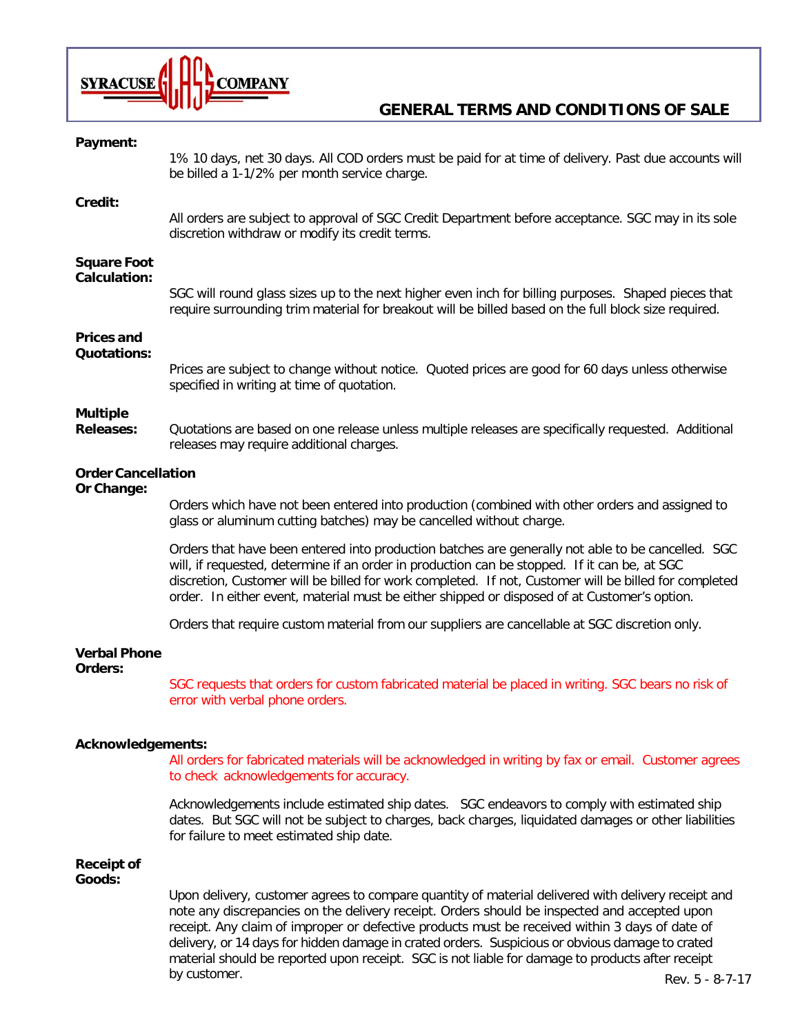

## **GENERAL TERMS AND CONDITIONS OF SALE**

| Payment:                                  | 1% 10 days, net 30 days. All COD orders must be paid for at time of delivery. Past due accounts will<br>be billed a 1-1/2% per month service charge.                                                                                                                                                                                                                                                       |  |
|-------------------------------------------|------------------------------------------------------------------------------------------------------------------------------------------------------------------------------------------------------------------------------------------------------------------------------------------------------------------------------------------------------------------------------------------------------------|--|
| Credit:                                   | All orders are subject to approval of SGC Credit Department before acceptance. SGC may in its sole<br>discretion withdraw or modify its credit terms.                                                                                                                                                                                                                                                      |  |
| <b>Square Foot</b><br><b>Calculation:</b> | SGC will round glass sizes up to the next higher even inch for billing purposes. Shaped pieces that<br>require surrounding trim material for breakout will be billed based on the full block size required.                                                                                                                                                                                                |  |
| <b>Prices and</b><br><b>Quotations:</b>   | Prices are subject to change without notice. Quoted prices are good for 60 days unless otherwise<br>specified in writing at time of quotation.                                                                                                                                                                                                                                                             |  |
| <b>Multiple</b><br><b>Releases:</b>       | Quotations are based on one release unless multiple releases are specifically requested. Additional<br>releases may require additional charges.                                                                                                                                                                                                                                                            |  |
| <b>Order Cancellation</b><br>Or Change:   |                                                                                                                                                                                                                                                                                                                                                                                                            |  |
|                                           | Orders which have not been entered into production (combined with other orders and assigned to<br>glass or aluminum cutting batches) may be cancelled without charge.                                                                                                                                                                                                                                      |  |
|                                           | Orders that have been entered into production batches are generally not able to be cancelled. SGC<br>will, if requested, determine if an order in production can be stopped. If it can be, at SGC<br>discretion, Customer will be billed for work completed. If not, Customer will be billed for completed<br>order. In either event, material must be either shipped or disposed of at Customer's option. |  |
|                                           | Orders that require custom material from our suppliers are cancellable at SGC discretion only.                                                                                                                                                                                                                                                                                                             |  |
| <b>Verbal Phone</b><br>Orders:            | SGC requests that orders for custom fabricated material be placed in writing. SGC bears no risk of<br>error with verbal phone orders.                                                                                                                                                                                                                                                                      |  |
| <b>Acknowledgements:</b>                  | All orders for fabricated materials will be acknowledged in writing by fax or email. Customer agrees<br>to check acknowledgements for accuracy.                                                                                                                                                                                                                                                            |  |
|                                           | Acknowledgements include estimated ship dates. SGC endeavors to comply with estimated ship<br>dates. But SGC will not be subject to charges, back charges, liquidated damages or other liabilities<br>for failure to meet estimated ship date.                                                                                                                                                             |  |
| <b>Receipt of</b><br>Goods:               |                                                                                                                                                                                                                                                                                                                                                                                                            |  |

Upon delivery, customer agrees to compare quantity of material delivered with delivery receipt and note any discrepancies on the delivery receipt. Orders should be inspected and accepted upon receipt. Any claim of improper or defective products must be received within 3 days of date of delivery, or 14 days for hidden damage in crated orders. Suspicious or obvious damage to crated material should be reported upon receipt. SGC is not liable for damage to products after receipt by customer. Rev. 5 - 8-7-17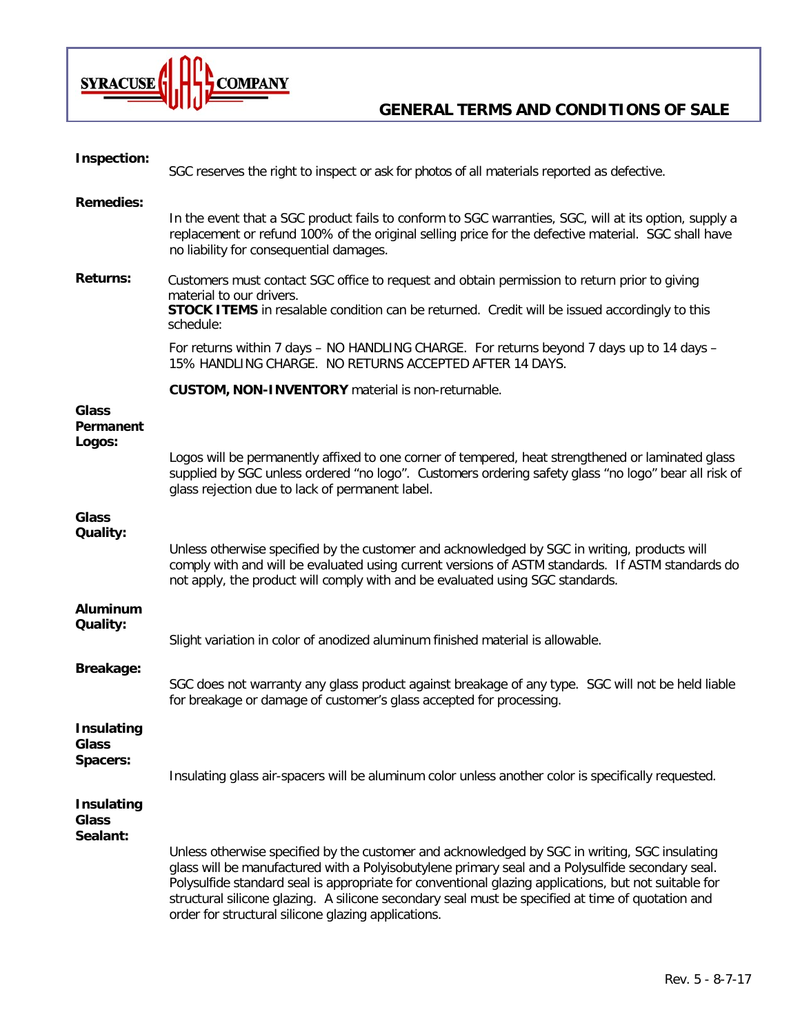

## **GENERAL TERMS AND CONDITIONS OF SALE**

| <b>Inspection:</b>                            |                                                                                                                                                                                                                                                                                                                                                                                                                                                                       |
|-----------------------------------------------|-----------------------------------------------------------------------------------------------------------------------------------------------------------------------------------------------------------------------------------------------------------------------------------------------------------------------------------------------------------------------------------------------------------------------------------------------------------------------|
|                                               | SGC reserves the right to inspect or ask for photos of all materials reported as defective.                                                                                                                                                                                                                                                                                                                                                                           |
| <b>Remedies:</b>                              |                                                                                                                                                                                                                                                                                                                                                                                                                                                                       |
|                                               | In the event that a SGC product fails to conform to SGC warranties, SGC, will at its option, supply a<br>replacement or refund 100% of the original selling price for the defective material. SGC shall have<br>no liability for consequential damages.                                                                                                                                                                                                               |
| <b>Returns:</b>                               | Customers must contact SGC office to request and obtain permission to return prior to giving<br>material to our drivers.<br><b>STOCK ITEMS</b> in resalable condition can be returned. Credit will be issued accordingly to this<br>schedule:                                                                                                                                                                                                                         |
|                                               | For returns within 7 days - NO HANDLING CHARGE. For returns beyond 7 days up to 14 days -<br>15% HANDLING CHARGE. NO RETURNS ACCEPTED AFTER 14 DAYS.                                                                                                                                                                                                                                                                                                                  |
|                                               | <b>CUSTOM, NON-INVENTORY</b> material is non-returnable.                                                                                                                                                                                                                                                                                                                                                                                                              |
| <b>Glass</b><br>Permanent<br>Logos:           |                                                                                                                                                                                                                                                                                                                                                                                                                                                                       |
|                                               | Logos will be permanently affixed to one corner of tempered, heat strengthened or laminated glass<br>supplied by SGC unless ordered "no logo". Customers ordering safety glass "no logo" bear all risk of<br>glass rejection due to lack of permanent label.                                                                                                                                                                                                          |
| <b>Glass</b>                                  |                                                                                                                                                                                                                                                                                                                                                                                                                                                                       |
| Quality:                                      | Unless otherwise specified by the customer and acknowledged by SGC in writing, products will<br>comply with and will be evaluated using current versions of ASTM standards. If ASTM standards do<br>not apply, the product will comply with and be evaluated using SGC standards.                                                                                                                                                                                     |
| <b>Aluminum</b>                               |                                                                                                                                                                                                                                                                                                                                                                                                                                                                       |
| Quality:                                      | Slight variation in color of anodized aluminum finished material is allowable.                                                                                                                                                                                                                                                                                                                                                                                        |
| Breakage:                                     | SGC does not warranty any glass product against breakage of any type. SGC will not be held liable<br>for breakage or damage of customer's glass accepted for processing.                                                                                                                                                                                                                                                                                              |
| <b>Insulating</b><br><b>Glass</b><br>Spacers: |                                                                                                                                                                                                                                                                                                                                                                                                                                                                       |
|                                               | Insulating glass air-spacers will be aluminum color unless another color is specifically requested.                                                                                                                                                                                                                                                                                                                                                                   |
| <b>Insulating</b><br><b>Glass</b><br>Sealant: |                                                                                                                                                                                                                                                                                                                                                                                                                                                                       |
|                                               | Unless otherwise specified by the customer and acknowledged by SGC in writing, SGC insulating<br>glass will be manufactured with a Polyisobutylene primary seal and a Polysulfide secondary seal.<br>Polysulfide standard seal is appropriate for conventional glazing applications, but not suitable for<br>structural silicone glazing. A silicone secondary seal must be specified at time of quotation and<br>order for structural silicone glazing applications. |